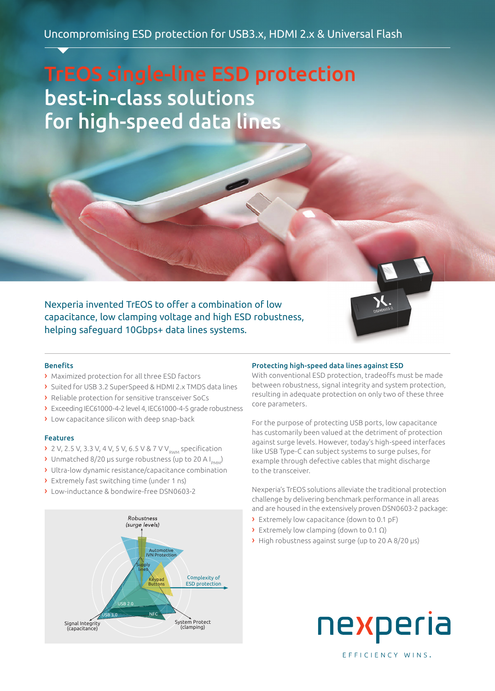# TrEOS single-line ESD protection best-in-class solutions for high-speed data lines

Nexperia invented TrEOS to offer a combination of low capacitance, low clamping voltage and high ESD robustness, helping safeguard 10Gbps+ data lines systems.



# **Benefits**

- › Maximized protection for all three ESD factors
- › Suited for USB 3.2 SuperSpeed & HDMI 2.x TMDS data lines
- › Reliable protection for sensitive transceiver SoCs
- › Exceeding IEC61000-4-2 level 4, IEC61000-4-5 grade robustness
- › Low capacitance silicon with deep snap-back

### Features

- $\triangleright$  2 V, 2.5 V, 3.3 V, 4 V, 5 V, 6.5 V & 7 V V<sub>pMM</sub> specification
- > Unmatched 8/20 µs surge robustness (up to 20 A I<sub>pMM</sub>)
- › Ultra-low dynamic resistance/capacitance combination
- › Extremely fast switching time (under 1 ns)
- › Low-inductance & bondwire-free DSN0603-2



# Protecting high-speed data lines against ESD

With conventional ESD protection, tradeoffs must be made between robustness, signal integrity and system protection, resulting in adequate protection on only two of these three core parameters.

For the purpose of protecting USB ports, low capacitance has customarily been valued at the detriment of protection against surge levels. However, today's high-speed interfaces like USB Type-C can subject systems to surge pulses, for example through defective cables that might discharge to the transceiver.

Nexperia's TrEOS solutions alleviate the traditional protection challenge by delivering benchmark performance in all areas and are housed in the extensively proven DSN0603-2 package:

- › Extremely low capacitance (down to 0.1 pF)
- › Extremely low clamping (down to 0.1 Ω)
- › High robustness against surge (up to 20 A 8/20 µs)